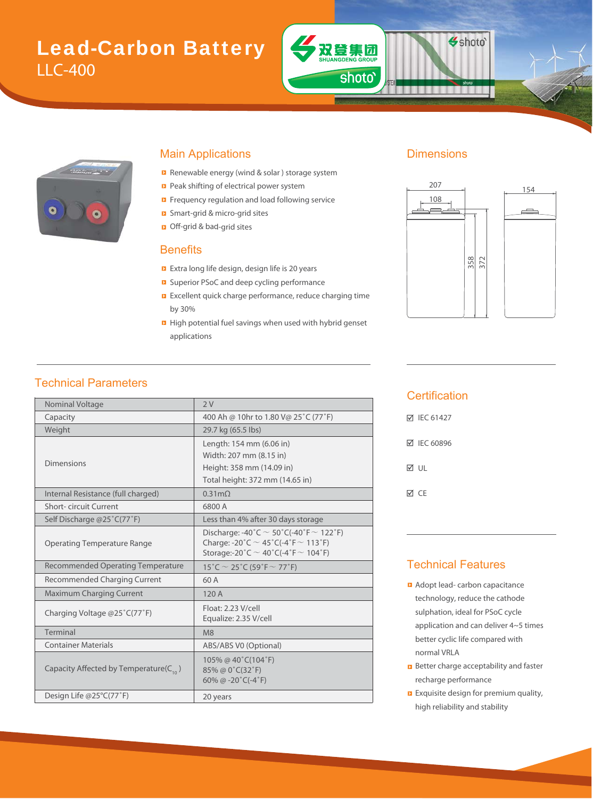# Lead-Carbon Battery LLC-400



#### Main Applications **Dimensions**

- Renewable energy (wind & solar ) storage system
- Peak shifting of electrical power system
- Frequency regulation and load following service
- Smart-grid & micro-grid sites & m
- Off-grid & bad-grid sites bad

#### **Benefits**

- Extra long life design, design life is 20 years
- Superior PSoC and deep cycling performance
- **EXCELLENT CONCOCO EXCELLENT** Excellent quick charge performance, reduce charging time by 30%
- **E** High potential fuel savings when used with hybrid genset applications

双登集团

shoto'

Shoto<sup>®</sup>



### Technical Parameters

| Nominal Voltage<br>2V<br>400 Ah @ 10hr to 1.80 V@ 25°C (77°F)<br>Capacity<br>Weight<br>29.7 kg (65.5 lbs)<br>Length: 154 mm (6.06 in)<br>Width: 207 mm (8.15 in)<br>Dimensions<br>Height: 358 mm (14.09 in)<br>Total height: 372 mm (14.65 in)<br>Internal Resistance (full charged)<br>$0.31 \text{m}\Omega$<br>Short-circuit Current<br>6800 A<br>Self Discharge @25°C(77°F)<br>Less than 4% after 30 days storage<br>Discharge: -40°C $\sim$ 50°C(-40°F $\sim$ 122°F)<br>Charge: -20°C $\sim$ 45°C(-4°F $\sim$ 113°F)<br><b>Operating Temperature Range</b><br>Storage:-20°C $\sim$ 40°C(-4°F $\sim$ 104°F)<br><b>Recommended Operating Temperature</b><br>15°C $\sim$ 25°C (59°F $\sim$ 77°F)<br>Recommended Charging Current<br>60 A<br><b>Maximum Charging Current</b><br>120 A<br>Float: 2.23 V/cell<br>Charging Voltage @25°C(77°F)<br>Equalize: 2.35 V/cell<br>Terminal<br>M8<br><b>Container Materials</b><br>ABS/ABS V0 (Optional)<br>105% @ 40°C(104°F)<br>Capacity Affected by Temperature( $C_{10}$ )<br>85% @ 0°C(32°F)<br>60% @ $-20^{\circ}$ C( $-4^{\circ}$ F)<br>Design Life @25°C(77°F)<br>20 years |  |  |  |  |
|-------------------------------------------------------------------------------------------------------------------------------------------------------------------------------------------------------------------------------------------------------------------------------------------------------------------------------------------------------------------------------------------------------------------------------------------------------------------------------------------------------------------------------------------------------------------------------------------------------------------------------------------------------------------------------------------------------------------------------------------------------------------------------------------------------------------------------------------------------------------------------------------------------------------------------------------------------------------------------------------------------------------------------------------------------------------------------------------------------------------------|--|--|--|--|
|                                                                                                                                                                                                                                                                                                                                                                                                                                                                                                                                                                                                                                                                                                                                                                                                                                                                                                                                                                                                                                                                                                                         |  |  |  |  |
|                                                                                                                                                                                                                                                                                                                                                                                                                                                                                                                                                                                                                                                                                                                                                                                                                                                                                                                                                                                                                                                                                                                         |  |  |  |  |
|                                                                                                                                                                                                                                                                                                                                                                                                                                                                                                                                                                                                                                                                                                                                                                                                                                                                                                                                                                                                                                                                                                                         |  |  |  |  |
|                                                                                                                                                                                                                                                                                                                                                                                                                                                                                                                                                                                                                                                                                                                                                                                                                                                                                                                                                                                                                                                                                                                         |  |  |  |  |
|                                                                                                                                                                                                                                                                                                                                                                                                                                                                                                                                                                                                                                                                                                                                                                                                                                                                                                                                                                                                                                                                                                                         |  |  |  |  |
|                                                                                                                                                                                                                                                                                                                                                                                                                                                                                                                                                                                                                                                                                                                                                                                                                                                                                                                                                                                                                                                                                                                         |  |  |  |  |
|                                                                                                                                                                                                                                                                                                                                                                                                                                                                                                                                                                                                                                                                                                                                                                                                                                                                                                                                                                                                                                                                                                                         |  |  |  |  |
|                                                                                                                                                                                                                                                                                                                                                                                                                                                                                                                                                                                                                                                                                                                                                                                                                                                                                                                                                                                                                                                                                                                         |  |  |  |  |
|                                                                                                                                                                                                                                                                                                                                                                                                                                                                                                                                                                                                                                                                                                                                                                                                                                                                                                                                                                                                                                                                                                                         |  |  |  |  |
|                                                                                                                                                                                                                                                                                                                                                                                                                                                                                                                                                                                                                                                                                                                                                                                                                                                                                                                                                                                                                                                                                                                         |  |  |  |  |
|                                                                                                                                                                                                                                                                                                                                                                                                                                                                                                                                                                                                                                                                                                                                                                                                                                                                                                                                                                                                                                                                                                                         |  |  |  |  |
|                                                                                                                                                                                                                                                                                                                                                                                                                                                                                                                                                                                                                                                                                                                                                                                                                                                                                                                                                                                                                                                                                                                         |  |  |  |  |
|                                                                                                                                                                                                                                                                                                                                                                                                                                                                                                                                                                                                                                                                                                                                                                                                                                                                                                                                                                                                                                                                                                                         |  |  |  |  |
|                                                                                                                                                                                                                                                                                                                                                                                                                                                                                                                                                                                                                                                                                                                                                                                                                                                                                                                                                                                                                                                                                                                         |  |  |  |  |
|                                                                                                                                                                                                                                                                                                                                                                                                                                                                                                                                                                                                                                                                                                                                                                                                                                                                                                                                                                                                                                                                                                                         |  |  |  |  |
|                                                                                                                                                                                                                                                                                                                                                                                                                                                                                                                                                                                                                                                                                                                                                                                                                                                                                                                                                                                                                                                                                                                         |  |  |  |  |
|                                                                                                                                                                                                                                                                                                                                                                                                                                                                                                                                                                                                                                                                                                                                                                                                                                                                                                                                                                                                                                                                                                                         |  |  |  |  |
|                                                                                                                                                                                                                                                                                                                                                                                                                                                                                                                                                                                                                                                                                                                                                                                                                                                                                                                                                                                                                                                                                                                         |  |  |  |  |
|                                                                                                                                                                                                                                                                                                                                                                                                                                                                                                                                                                                                                                                                                                                                                                                                                                                                                                                                                                                                                                                                                                                         |  |  |  |  |

#### **Certification**

| <b>▽ IEC 61427</b> |
|--------------------|
| <b>☑ IEC 60896</b> |
| M ∪⊩               |
| ⊠ CF               |

#### Technical Features

- **Adopt lead- carbon capacitance** technology, reduce the cathode sulphation, ideal for PSoC cycle application and can deliver 4~5 times better cyclic life compared with normal VRLA
- **B** Better charge acceptability and faster recharge performance
- **Exquisite design for premium quality,** high reliability and stability